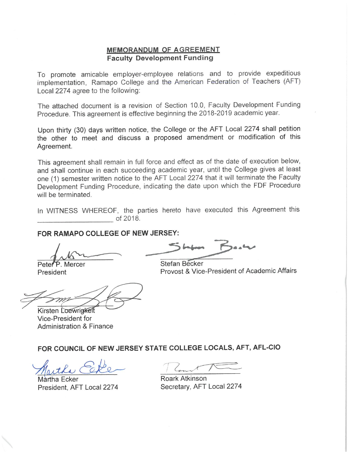#### **MEMORANDUM OF AGREEMENT Faculty Development Funding**

To promote amicable employer-employee relations and to provide expeditious implementation, Ramapo College and the American Federation of Teachers (AFT) Local 2274 agree to the following:

The attached document is a revision of Section 10.0, Faculty Development Funding Procedure. This agreement is effective beginning the 2018-2019 academic year.

Upon thirty (30) days written notice, the College or the AFT Local 2274 shall petition the other to meet and discuss a proposed amendment or modification of this Agreement.

This agreement shall remain in full force and effect as of the date of execution below, and shall continue in each succeeding academic year, until the College gives at least one (1) semester written notice to the AFT Local 2274 that it will terminate the Faculty Development Funding Procedure, indicating the date upon which the FDF Procedure will be terminated.

In WITNESS WHEREOF, the parties hereto have executed this Agreement this of 2018.

## FOR RAMAPO COLLEGE OF NEW JERSEY:

Peter P. Mercer

President

Kirsten Loewrigkeit Vice-President for **Administration & Finance** 

**Stefan Becker** Provost & Vice-President of Academic Affairs

#### FOR COUNCIL OF NEW JERSEY STATE COLLEGE LOCALS, AFT, AFL-CIO

Martha Ecker President, AFT Local 2274

Roark Atkinson Secretary, AFT Local 2274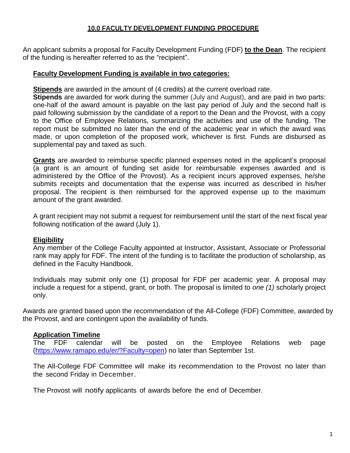### **10.0 FACULTY DEVELOPMENT FUNDING PROCEDURE**

An applicant submits a proposal for Faculty Development Funding (FDF) **to the Dean**. The recipient of the funding is hereafter referred to as the "recipient".

### **Faculty Development Funding is available in two categories:**

**Stipends** are awarded in the amount of (4 credits) at the current overload rate.

**Stipends** are awarded for work during the summer (July and August), and are paid in two parts: one-half of the award amount is payable on the last pay period of July and the second half is paid following submission by the candidate of a report to the Dean and the Provost, with a copy to the Office of Employee Relations, summarizing the activities and use of the funding. The report must be submitted no later than the end of the academic year in which the award was made, or upon completion of the proposed work, whichever is first. Funds are disbursed as supplemental pay and taxed as such.

**Grants** are awarded to reimburse specific planned expenses noted in the applicant's proposal (a grant is an amount of funding set aside for reimbursable expenses awarded and is administered by the Office of the Provost). As a recipient incurs approved expenses, he/she submits receipts and documentation that the expense was incurred as described in his/her proposal. The recipient is then reimbursed for the approved expense up to the maximum amount of the grant awarded.

A grant recipient may not submit a request for reimbursement until the start of the next fiscal year following notification of the award (July 1).

# **Eligibility**

Any member of the College Faculty appointed at Instructor, Assistant, Associate or Professorial rank may apply for FDF. The intent of the funding is to facilitate the production of scholarship, as defined in the Faculty Handbook.

Individuals may submit only one (1) proposal for FDF per academic year. A proposal may include a request for a stipend, grant, or both. The proposal is limited to *one (1)* scholarly project only.

Awards are granted based upon the recommendation of the All-College (FDF) Committee, awarded by the Provost, and are contingent upon the availability of funds.

# **Application Timeline**

The FDF calendar will be posted on the Employee Relations web page [\(https://www.ramapo.edu/er/?Faculty=open\)](https://www.ramapo.edu/er/?Faculty=open) no later than September 1st.

The All-College FDF Committee will make its recommendation to the Provost no later than the second Friday in December.

The Provost will notify applicants of awards before the end of December.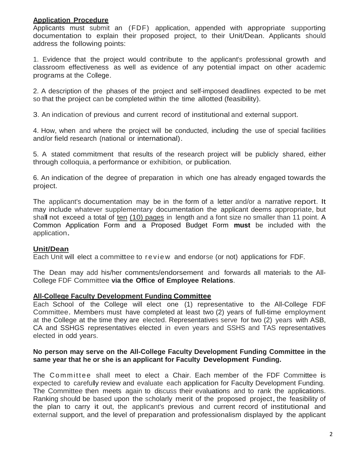### **Application Procedure**

Applicants must submit an (FDF) application, appended with appropriate supporting documentation to explain their proposed project, to their Unit/Dean. Applicants should address the following points:

1. Evidence that the project would contribute to the applicant's professional growth and classroom effectiveness as well as evidence of any potential impact on other academic programs at the College.

2. A description of the phases of the project and self-imposed deadlines expected to be met so that the project can be completed within the time allotted (feasibility).

3. An indication of previous and current record of institutional and external support.

4. How, when and where the project will be conducted, including the use of special facilities and/or field research (national or international).

5. A stated commitment that results of the research project will be publicly shared, either through colloquia, a performance or exhibition, or publication.

6. An indication of the degree of preparation in which one has already engaged towards the project.

The applicant's documentation may be in the form of a letter and/or a narrative report. It may include whatever supplementary documentation the applicant deems appropriate, but shall not exceed a total of ten (10) pages in length and a font size no smaller than 11 point. A Common Application Form and a Proposed Budget Form **must** be included with the application.

# **Unit/Dean**

Each Unit will elect a committee to review and endorse (or not) applications for FDF.

The Dean may add his/her comments/endorsement and forwards all materials to the All-College FDF Committee **via the Office of Employee Relations**.

### **All-College Faculty Development Funding Committee**

Each School of the College will elect one (1) representative to the All-College FDF Committee. Members must have completed at least two (2) years of full-time employment at the College at the time they are elected. Representatives serve for two (2) years with ASB, CA and SSHGS representatives elected in even years and SSHS and TAS representatives elected in odd years.

### **No person may serve on the All-College Faculty Development Funding Committee in the same year that he or she is an applicant for Faculty Development Funding.**

The Committee shall meet to elect a Chair. Each member of the FDF Committee is expected to carefully review and evaluate each application for Faculty Development Funding. The Committee then meets again to discuss their evaluations and to rank the applications. Ranking should be based upon the scholarly merit of the proposed project, the feasibility of the plan to carry it out, the applicant's previous and current record of institutional and external support, and the level of preparation and professionalism displayed by the applicant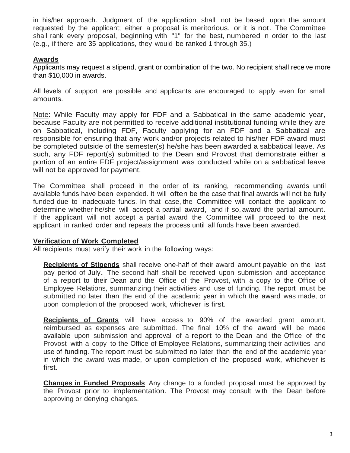in his/her approach. Judgment of the application shall not be based upon the amount requested by the applicant; either a proposal is meritorious, or it is not. The Committee shall rank every proposal, beginning with "1" for the best, numbered in order to the last (e.g., if there are 35 applications, they would be ranked 1 through 35.)

### **Awards**

Applicants may request a stipend, grant or combination of the two. No recipient shall receive more than \$10,000 in awards.

All levels of support are possible and applicants are encouraged to apply even for small amounts.

Note: While Faculty may apply for FDF and a Sabbatical in the same academic year, because Faculty are not permitted to receive additional institutional funding while they are on Sabbatical, including FDF, Faculty applying for an FDF and a Sabbatical are responsible for ensuring that any work and/or projects related to his/her FDF award must be completed outside of the semester(s) he/she has been awarded a sabbatical leave. As such, any FDF report(s) submitted to the Dean and Provost that demonstrate either a portion of an entire FDF project/assignment was conducted while on a sabbatical leave will not be approved for payment.

The Committee shall proceed in the order of its ranking, recommending awards until available funds have been expended. It will often be the case that final awards will not be fully funded due to inadequate funds. In that case, the Committee will contact the applicant to determine whether he/she will accept <sup>a</sup> partial award, and if so, award the partial amount. If the applicant will not accept a partial award the Committee will proceed to the next applicant in ranked order and repeats the process until all funds have been awarded.

### **Verification of Work Completed**

All recipients must verify their work in the following ways:

**Recipients of Stipends** shall receive one-half of their award amount payable on the last pay period of July. The second half shall be received upon submission and acceptance of a report to their Dean and the Office of the Provost, with a copy to the Office of Employee Relations, summarizing their activities and use of funding. The report must be submitted no later than the end of the academic year in which the award was made, or upon completion of the proposed work, whichever is first.

**Recipients of Grants** will have access to 90% of the awarded grant amount, reimbursed as expenses are submitted. The final 10% of the award will be made available upon submission and approval of a report to the Dean and the Office of the Provost with a copy to the Office of Employee Relations, summarizing their activities and use of funding. The report must be submitted no later than the end of the academic year in which the award was made, or upon completion of the proposed work, whichever is first.

**Changes in Funded Proposals** Any change to a funded proposal must be approved by the Provost prior to implementation. The Provost may consult with the Dean before approving or denying changes.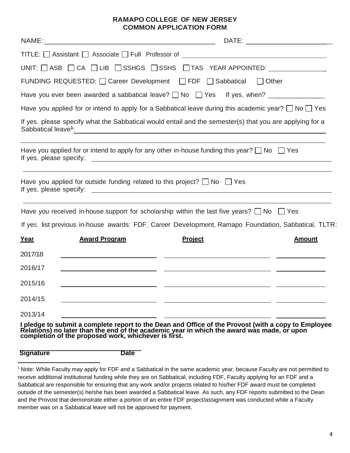#### **RAMAPO COLLEGE OF NEW JERSEY COMMON APPLICATION FORM**

|         |                      |                                                                                                                                                                                                                                                                                                                                                      | DATE:         |
|---------|----------------------|------------------------------------------------------------------------------------------------------------------------------------------------------------------------------------------------------------------------------------------------------------------------------------------------------------------------------------------------------|---------------|
|         |                      | TITLE: □ Assistant □ Associate □ Full Professor of _____________________________                                                                                                                                                                                                                                                                     |               |
|         |                      | UNIT: $\Box$ ASB $\Box$ CA $\Box$ LIB $\Box$ SSHGS $\Box$ SSHS $\Box$ TAS YEAR APPOINTED:                                                                                                                                                                                                                                                            |               |
|         |                      | FUNDING REQUESTED: [ Career Development   FDF   Sabbatical<br>$\Box$ Other                                                                                                                                                                                                                                                                           |               |
|         |                      | Have you ever been awarded a sabbatical leave? $\Box$ No $\Box$ Yes If yes, when?                                                                                                                                                                                                                                                                    |               |
|         |                      | Have you applied for or intend to apply for a Sabbatical leave during this academic year? $\square$ No $\square$ Yes                                                                                                                                                                                                                                 |               |
|         |                      | If yes, please specify what the Sabbatical would entail and the semester(s) that you are applying for a<br>Sabbatical leave <sup>1</sup> : All and the same of the same of the same of the same of the same of the same of the same of the same of the same of the same of the same of the same of the same of the same of the same of the same of t |               |
|         |                      | Have you applied for or intend to apply for any other in-house funding this year? $\Box$ No $\Box$ Yes<br>If yes, please specify: example and a set of the set of the set of the set of the set of the set of the set of the set of the set of the set of the set of the set of the set of the set of the set of the set of the set of t             |               |
|         |                      | Have you applied for outside funding related to this project? $\Box$ No $\Box$ Yes                                                                                                                                                                                                                                                                   |               |
|         |                      | Have you received in-house support for scholarship within the last five years? $\Box$ No $\Box$ Yes                                                                                                                                                                                                                                                  |               |
|         |                      | If yes, list previous in-house awards: FDF, Career Development, Ramapo Foundation, Sabbatical, TLTR:                                                                                                                                                                                                                                                 |               |
| Year    | <b>Award Program</b> | Project                                                                                                                                                                                                                                                                                                                                              | <b>Amount</b> |
| 2017/18 |                      |                                                                                                                                                                                                                                                                                                                                                      |               |
| 2016/17 |                      | <u> 1990 - Jan James James James James James James James James James James James James James James James James J</u>                                                                                                                                                                                                                                 |               |
| 2015/16 |                      | <u> 1990 - Jan James James James James James James James James James James James James James James James James J</u>                                                                                                                                                                                                                                 |               |
| 2014/15 |                      |                                                                                                                                                                                                                                                                                                                                                      |               |
| 2013/14 |                      |                                                                                                                                                                                                                                                                                                                                                      |               |

**I pledge to submit a complete report to the Dean and Office of the Provost (with a copy to Employee Relations) no later than the end of the academic year in which the award was made, or upon completion of the proposed work, whichever is first.** 

| <b>Signature</b> | Date |
|------------------|------|
|                  |      |

 $\overline{a}$ 

<sup>1</sup> Note: While Faculty may apply for FDF and a Sabbatical in the same academic year, because Faculty are not permitted to receive additional institutional funding while they are on Sabbatical, including FDF, Faculty applying for an FDF and a Sabbatical are responsible for ensuring that any work and/or projects related to his/her FDF award must be completed outside of the semester(s) he/she has been awarded a Sabbatical leave. As such, any FDF reports submitted to the Dean and the Provost that demonstrate either a portion of an entire FDF project/assignment was conducted while a Faculty member was on a Sabbatical leave will not be approved for payment.